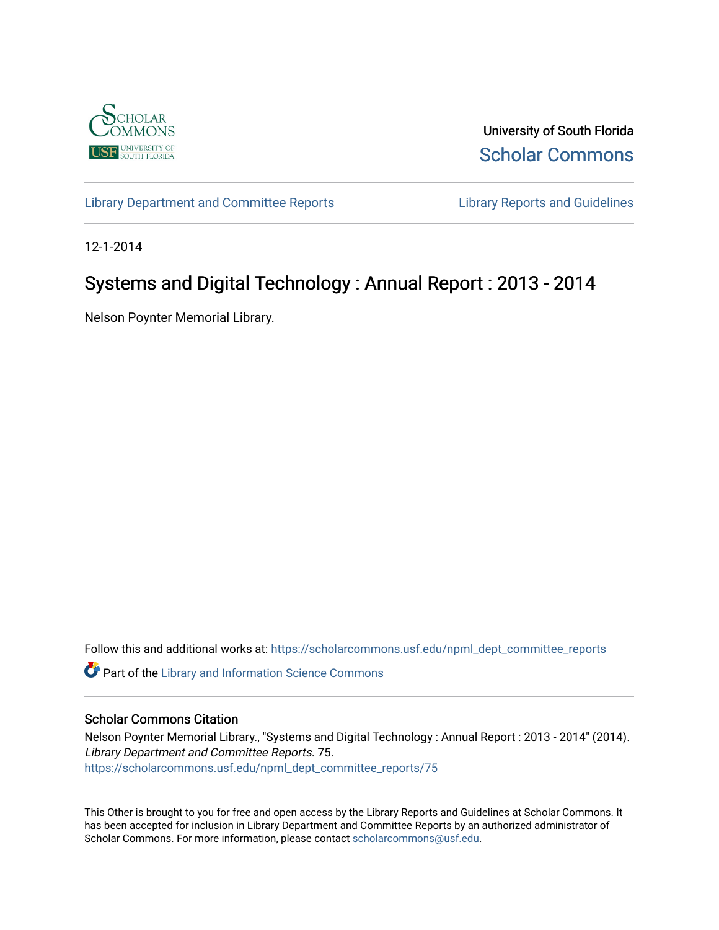

University of South Florida [Scholar Commons](https://scholarcommons.usf.edu/) 

[Library Department and Committee Reports](https://scholarcommons.usf.edu/npml_dept_committee_reports) [Library Reports and Guidelines](https://scholarcommons.usf.edu/npml_reports_guidelines_instruct_materials) 

12-1-2014

## Systems and Digital Technology : Annual Report : 2013 - 2014

Nelson Poynter Memorial Library.

Follow this and additional works at: [https://scholarcommons.usf.edu/npml\\_dept\\_committee\\_reports](https://scholarcommons.usf.edu/npml_dept_committee_reports?utm_source=scholarcommons.usf.edu%2Fnpml_dept_committee_reports%2F75&utm_medium=PDF&utm_campaign=PDFCoverPages)

**C** Part of the Library and Information Science Commons

#### Scholar Commons Citation

Nelson Poynter Memorial Library., "Systems and Digital Technology : Annual Report : 2013 - 2014" (2014). Library Department and Committee Reports. 75. [https://scholarcommons.usf.edu/npml\\_dept\\_committee\\_reports/75](https://scholarcommons.usf.edu/npml_dept_committee_reports/75?utm_source=scholarcommons.usf.edu%2Fnpml_dept_committee_reports%2F75&utm_medium=PDF&utm_campaign=PDFCoverPages) 

This Other is brought to you for free and open access by the Library Reports and Guidelines at Scholar Commons. It has been accepted for inclusion in Library Department and Committee Reports by an authorized administrator of Scholar Commons. For more information, please contact [scholarcommons@usf.edu](mailto:scholarcommons@usf.edu).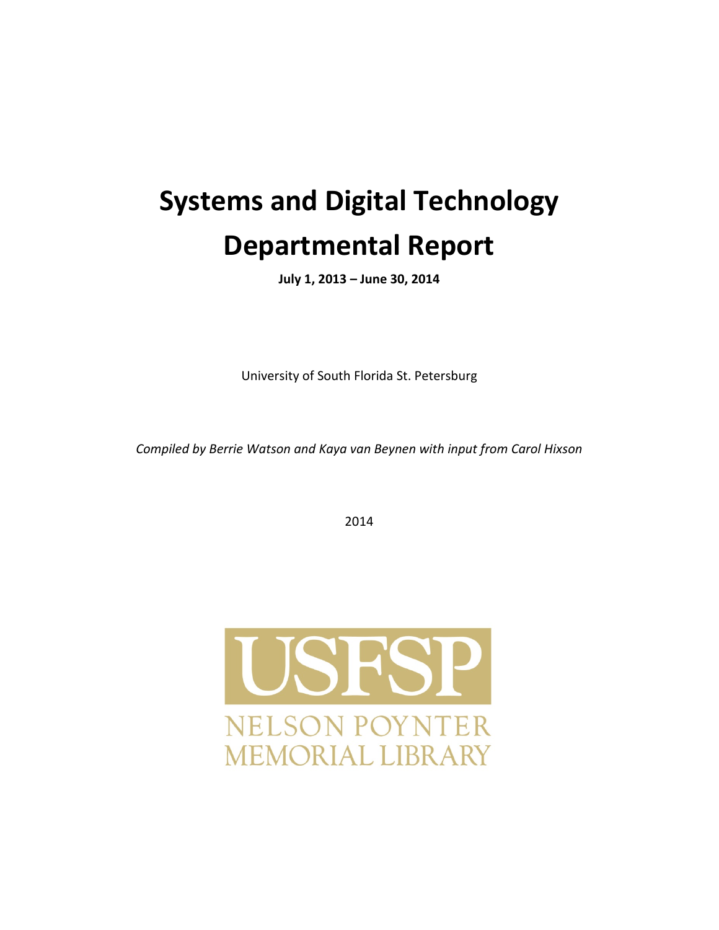# **Systems and Digital Technology Departmental Report**

**July 1, 2013 – June 30, 2014**

University of South Florida St. Petersburg

*Compiled by Berrie Watson and Kaya van Beynen with input from Carol Hixson* 

2014

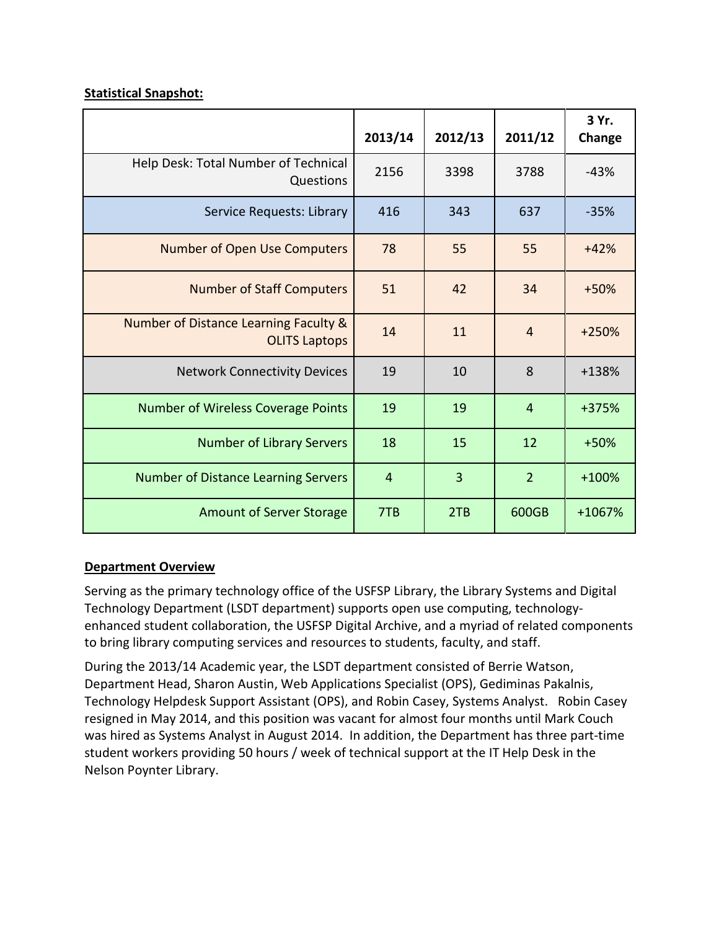## **Statistical Snapshot:**

|                                                               | 2013/14        | 2012/13        | 2011/12        | 3 Yr.<br>Change |
|---------------------------------------------------------------|----------------|----------------|----------------|-----------------|
| Help Desk: Total Number of Technical<br>Questions             | 2156           | 3398           | 3788           | $-43%$          |
| Service Requests: Library                                     | 416            | 343            | 637            | $-35%$          |
| <b>Number of Open Use Computers</b>                           | 78             | 55             | 55             | $+42%$          |
| <b>Number of Staff Computers</b>                              | 51             | 42             | 34             | $+50%$          |
| Number of Distance Learning Faculty &<br><b>OLITS Laptops</b> | 14             | 11             | $\overline{4}$ | $+250%$         |
| <b>Network Connectivity Devices</b>                           | 19             | 10             | 8              | +138%           |
| <b>Number of Wireless Coverage Points</b>                     | 19             | 19             | $\overline{4}$ | +375%           |
| <b>Number of Library Servers</b>                              | 18             | 15             | 12             | $+50%$          |
| <b>Number of Distance Learning Servers</b>                    | $\overline{4}$ | $\overline{3}$ | $\overline{2}$ | $+100%$         |
| <b>Amount of Server Storage</b>                               | 7TB            | 2TB            | 600GB          | +1067%          |

## **Department Overview**

Serving as the primary technology office of the USFSP Library, the Library Systems and Digital Technology Department (LSDT department) supports open use computing, technologyenhanced student collaboration, the USFSP Digital Archive, and a myriad of related components to bring library computing services and resources to students, faculty, and staff.

During the 2013/14 Academic year, the LSDT department consisted of Berrie Watson, Department Head, Sharon Austin, Web Applications Specialist (OPS), Gediminas Pakalnis, Technology Helpdesk Support Assistant (OPS), and Robin Casey, Systems Analyst. Robin Casey resigned in May 2014, and this position was vacant for almost four months until Mark Couch was hired as Systems Analyst in August 2014. In addition, the Department has three part-time student workers providing 50 hours / week of technical support at the IT Help Desk in the Nelson Poynter Library.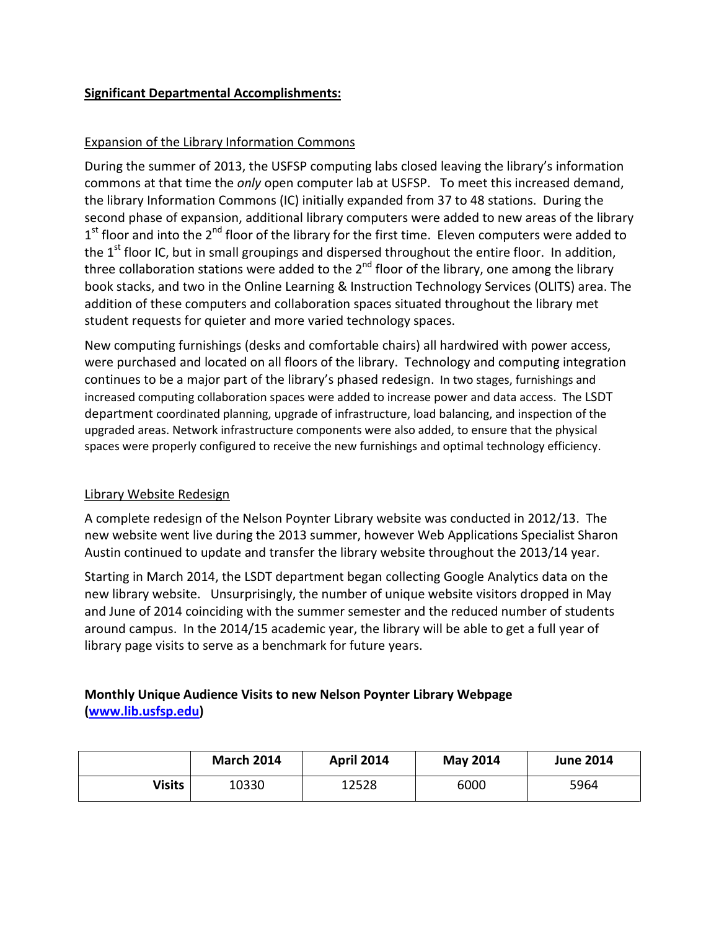## **Significant Departmental Accomplishments:**

## Expansion of the Library Information Commons

During the summer of 2013, the USFSP computing labs closed leaving the library's information commons at that time the *only* open computer lab at USFSP. To meet this increased demand, the library Information Commons (IC) initially expanded from 37 to 48 stations. During the second phase of expansion, additional library computers were added to new areas of the library  $1<sup>st</sup>$  floor and into the  $2<sup>nd</sup>$  floor of the library for the first time. Eleven computers were added to the 1<sup>st</sup> floor IC, but in small groupings and dispersed throughout the entire floor. In addition, three collaboration stations were added to the  $2<sup>nd</sup>$  floor of the library, one among the library book stacks, and two in the Online Learning & Instruction Technology Services (OLITS) area. The addition of these computers and collaboration spaces situated throughout the library met student requests for quieter and more varied technology spaces.

New computing furnishings (desks and comfortable chairs) all hardwired with power access, were purchased and located on all floors of the library. Technology and computing integration continues to be a major part of the library's phased redesign. In two stages, furnishings and increased computing collaboration spaces were added to increase power and data access. The LSDT department coordinated planning, upgrade of infrastructure, load balancing, and inspection of the upgraded areas. Network infrastructure components were also added, to ensure that the physical spaces were properly configured to receive the new furnishings and optimal technology efficiency.

## Library Website Redesign

A complete redesign of the Nelson Poynter Library website was conducted in 2012/13. The new website went live during the 2013 summer, however Web Applications Specialist Sharon Austin continued to update and transfer the library website throughout the 2013/14 year.

Starting in March 2014, the LSDT department began collecting Google Analytics data on the new library website. Unsurprisingly, the number of unique website visitors dropped in May and June of 2014 coinciding with the summer semester and the reduced number of students around campus. In the 2014/15 academic year, the library will be able to get a full year of library page visits to serve as a benchmark for future years.

## **Monthly Unique Audience Visits to new Nelson Poynter Library Webpage [\(www.lib.usfsp.edu\)](http://www.lib.usfsp.edu/)**

|        | <b>March 2014</b> | <b>April 2014</b> | <b>May 2014</b> | <b>June 2014</b> |
|--------|-------------------|-------------------|-----------------|------------------|
| Visits | 10330             | 12528             | 6000            | 5964             |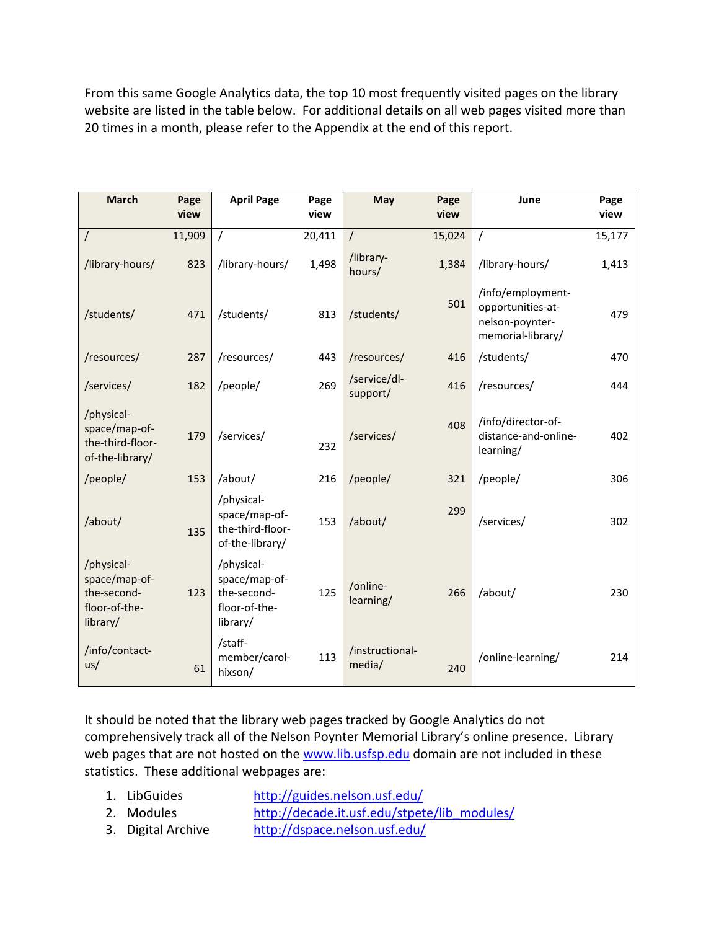From this same Google Analytics data, the top 10 most frequently visited pages on the library website are listed in the table below. For additional details on all web pages visited more than 20 times in a month, please refer to the Appendix at the end of this report.

| <b>March</b>                                                            | Page<br>view | <b>April Page</b>                                                       | Page<br>view | May                       | Page<br>view | June                                                                           | Page<br>view |
|-------------------------------------------------------------------------|--------------|-------------------------------------------------------------------------|--------------|---------------------------|--------------|--------------------------------------------------------------------------------|--------------|
| $\prime$                                                                | 11,909       |                                                                         | 20,411       | $\prime$                  | 15,024       |                                                                                | 15,177       |
| /library-hours/                                                         | 823          | /library-hours/                                                         | 1,498        | /library-<br>hours/       | 1,384        | /library-hours/                                                                | 1,413        |
| /students/                                                              | 471          | /students/                                                              | 813          | /students/                | 501          | /info/employment-<br>opportunities-at-<br>nelson-poynter-<br>memorial-library/ | 479          |
| /resources/                                                             | 287          | /resources/                                                             | 443          | /resources/               | 416          | /students/                                                                     | 470          |
| /services/                                                              | 182          | /people/                                                                | 269          | /service/dl-<br>support/  | 416          | /resources/                                                                    | 444          |
| /physical-<br>space/map-of-<br>the-third-floor-<br>of-the-library/      | 179          | /services/                                                              | 232          | /services/                | 408          | /info/director-of-<br>distance-and-online-<br>learning/                        | 402          |
| /people/                                                                | 153          | /about/                                                                 | 216          | /people/                  | 321          | /people/                                                                       | 306          |
| /about/                                                                 | 135          | /physical-<br>space/map-of-<br>the-third-floor-<br>of-the-library/      | 153          | /about/                   | 299          | /services/                                                                     | 302          |
| /physical-<br>space/map-of-<br>the-second-<br>floor-of-the-<br>library/ | 123          | /physical-<br>space/map-of-<br>the-second-<br>floor-of-the-<br>library/ | 125          | /online-<br>learning/     | 266          | /about/                                                                        | 230          |
| /info/contact-<br>us/                                                   | 61           | /staff-<br>member/carol-<br>hixson/                                     | 113          | /instructional-<br>media/ | 240          | /online-learning/                                                              | 214          |

It should be noted that the library web pages tracked by Google Analytics do not comprehensively track all of the Nelson Poynter Memorial Library's online presence. Library web pages that are not hosted on the [www.lib.usfsp.edu](http://www.lib.usfsp.edu/) domain are not included in these statistics. These additional webpages are:

- 1. LibGuides <http://guides.nelson.usf.edu/>
- 2. Modules [http://decade.it.usf.edu/stpete/lib\\_modules/](http://decade.it.usf.edu/stpete/lib_modules/)
- 3. Digital Archive <http://dspace.nelson.usf.edu/>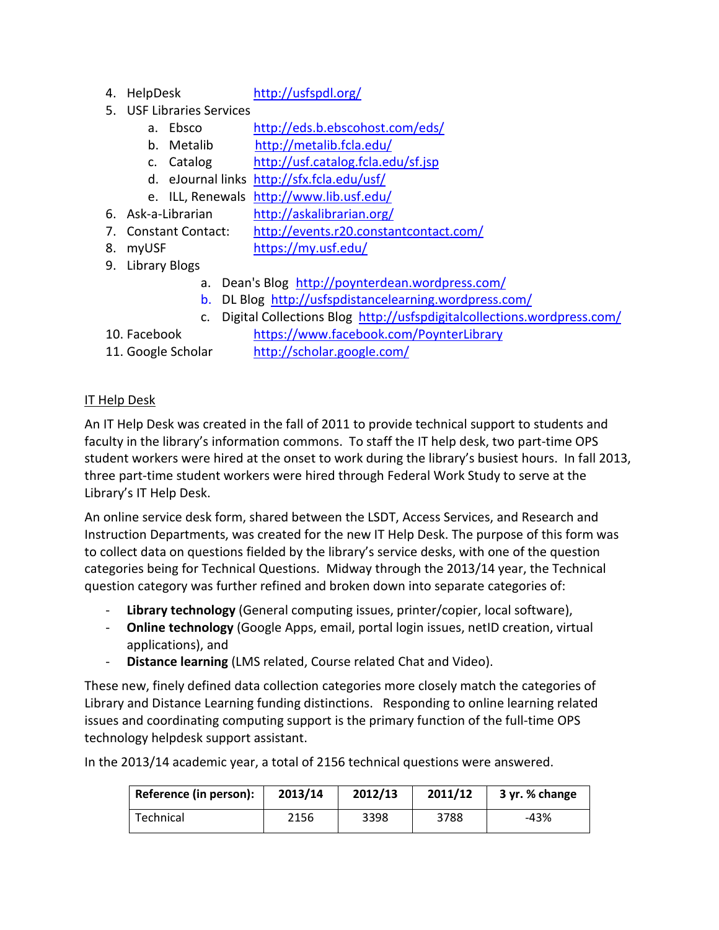4. HelpDesk <http://usfspdl.org/>

- 5. USF Libraries Services
	- a. Ebsco <http://eds.b.ebscohost.com/eds/>
	- b. Metalib <http://metalib.fcla.edu/>
	- c. Catalog <http://usf.catalog.fcla.edu/sf.jsp>
	- d. eJournal links <http://sfx.fcla.edu/usf/>
	- e. ILL, Renewals <http://www.lib.usf.edu/>
- 6. Ask-a-Librarian <http://askalibrarian.org/>
- 7. Constant Contact: <http://events.r20.constantcontact.com/>
- 8. myUSF <https://my.usf.edu/>
- 9. Library Blogs
	- a. Dean's Blog <http://poynterdean.wordpress.com/>
	- b. DL Blog <http://usfspdistancelearning.wordpress.com/>
	- c. Digital Collections Blog <http://usfspdigitalcollections.wordpress.com/>
- 10. Facebook <https://www.facebook.com/PoynterLibrary>
- 
- 11. Google Scholar <http://scholar.google.com/>

## IT Help Desk

An IT Help Desk was created in the fall of 2011 to provide technical support to students and faculty in the library's information commons. To staff the IT help desk, two part-time OPS student workers were hired at the onset to work during the library's busiest hours. In fall 2013, three part-time student workers were hired through Federal Work Study to serve at the Library's IT Help Desk.

An online service desk form, shared between the LSDT, Access Services, and Research and Instruction Departments, was created for the new IT Help Desk. The purpose of this form was to collect data on questions fielded by the library's service desks, with one of the question categories being for Technical Questions. Midway through the 2013/14 year, the Technical question category was further refined and broken down into separate categories of:

- Library technology (General computing issues, printer/copier, local software),
- **Online technology** (Google Apps, email, portal login issues, netID creation, virtual applications), and
- **Distance learning** (LMS related, Course related Chat and Video).

These new, finely defined data collection categories more closely match the categories of Library and Distance Learning funding distinctions. Responding to online learning related issues and coordinating computing support is the primary function of the full-time OPS technology helpdesk support assistant.

In the 2013/14 academic year, a total of 2156 technical questions were answered.

| Reference (in person): | 2013/14 | 2012/13 | 2011/12 | 3 yr. % change |
|------------------------|---------|---------|---------|----------------|
| Technical              | 2156    | 3398    | 3788    | $-43%$         |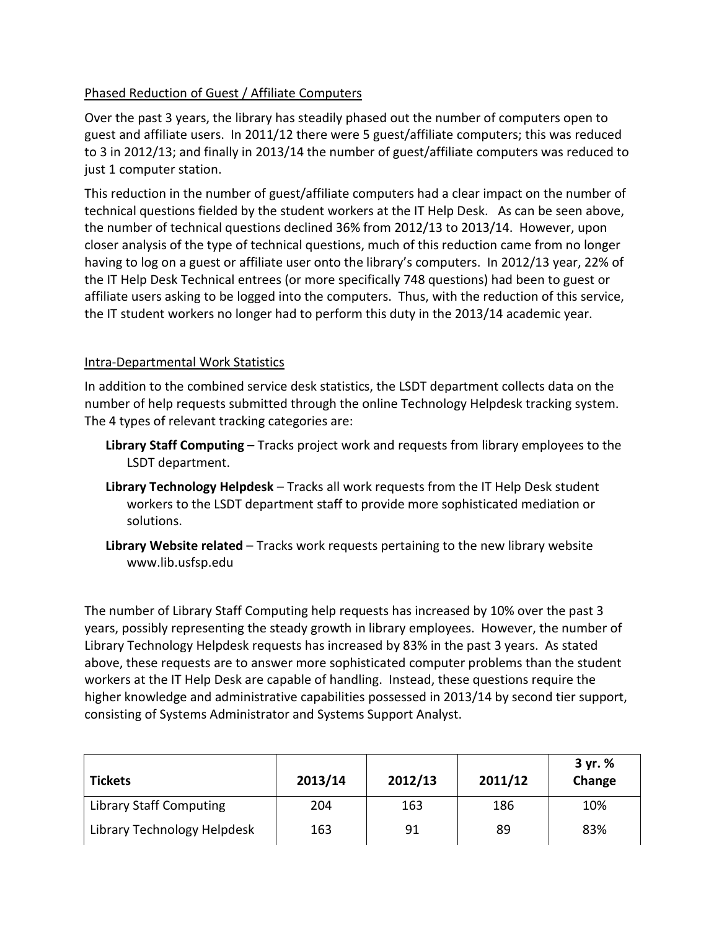## Phased Reduction of Guest / Affiliate Computers

Over the past 3 years, the library has steadily phased out the number of computers open to guest and affiliate users. In 2011/12 there were 5 guest/affiliate computers; this was reduced to 3 in 2012/13; and finally in 2013/14 the number of guest/affiliate computers was reduced to just 1 computer station.

This reduction in the number of guest/affiliate computers had a clear impact on the number of technical questions fielded by the student workers at the IT Help Desk. As can be seen above, the number of technical questions declined 36% from 2012/13 to 2013/14. However, upon closer analysis of the type of technical questions, much of this reduction came from no longer having to log on a guest or affiliate user onto the library's computers. In 2012/13 year, 22% of the IT Help Desk Technical entrees (or more specifically 748 questions) had been to guest or affiliate users asking to be logged into the computers. Thus, with the reduction of this service, the IT student workers no longer had to perform this duty in the 2013/14 academic year.

## Intra-Departmental Work Statistics

In addition to the combined service desk statistics, the LSDT department collects data on the number of help requests submitted through the online Technology Helpdesk tracking system. The 4 types of relevant tracking categories are:

- **Library Staff Computing** Tracks project work and requests from library employees to the LSDT department.
- **Library Technology Helpdesk** Tracks all work requests from the IT Help Desk student workers to the LSDT department staff to provide more sophisticated mediation or solutions.
- **Library Website related** Tracks work requests pertaining to the new library website www.lib.usfsp.edu

The number of Library Staff Computing help requests has increased by 10% over the past 3 years, possibly representing the steady growth in library employees. However, the number of Library Technology Helpdesk requests has increased by 83% in the past 3 years. As stated above, these requests are to answer more sophisticated computer problems than the student workers at the IT Help Desk are capable of handling. Instead, these questions require the higher knowledge and administrative capabilities possessed in 2013/14 by second tier support, consisting of Systems Administrator and Systems Support Analyst.

| <b>Tickets</b>                 | 2013/14 | 2012/13 | 2011/12 | 3 yr. %<br>Change |
|--------------------------------|---------|---------|---------|-------------------|
| <b>Library Staff Computing</b> | 204     | 163     | 186     | 10%               |
| Library Technology Helpdesk    | 163     | 91      | 89      | 83%               |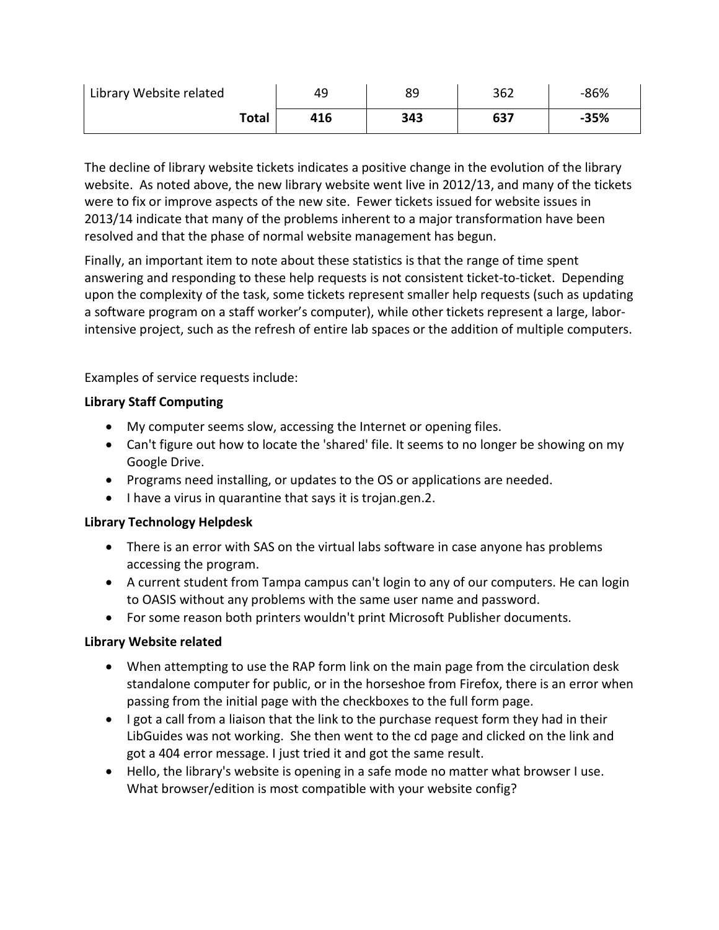| Library Website related | 49  | 89  | 362 | $-86%$ |
|-------------------------|-----|-----|-----|--------|
| <b>Total</b>            | 416 | 343 | 637 | $-35%$ |

The decline of library website tickets indicates a positive change in the evolution of the library website. As noted above, the new library website went live in 2012/13, and many of the tickets were to fix or improve aspects of the new site. Fewer tickets issued for website issues in 2013/14 indicate that many of the problems inherent to a major transformation have been resolved and that the phase of normal website management has begun.

Finally, an important item to note about these statistics is that the range of time spent answering and responding to these help requests is not consistent ticket-to-ticket. Depending upon the complexity of the task, some tickets represent smaller help requests (such as updating a software program on a staff worker's computer), while other tickets represent a large, laborintensive project, such as the refresh of entire lab spaces or the addition of multiple computers.

Examples of service requests include:

## **Library Staff Computing**

- My computer seems slow, accessing the Internet or opening files.
- Can't figure out how to locate the 'shared' file. It seems to no longer be showing on my Google Drive.
- Programs need installing, or updates to the OS or applications are needed.
- I have a virus in quarantine that says it is trojan.gen.2.

## **Library Technology Helpdesk**

- There is an error with SAS on the virtual labs software in case anyone has problems accessing the program.
- A current student from Tampa campus can't login to any of our computers. He can login to OASIS without any problems with the same user name and password.
- For some reason both printers wouldn't print Microsoft Publisher documents.

## **Library Website related**

- When attempting to use the RAP form link on the main page from the circulation desk standalone computer for public, or in the horseshoe from Firefox, there is an error when passing from the initial page with the checkboxes to the full form page.
- I got a call from a liaison that the link to the purchase request form they had in their LibGuides was not working. She then went to the cd page and clicked on the link and got a 404 error message. I just tried it and got the same result.
- Hello, the library's website is opening in a safe mode no matter what browser I use. What browser/edition is most compatible with your website config?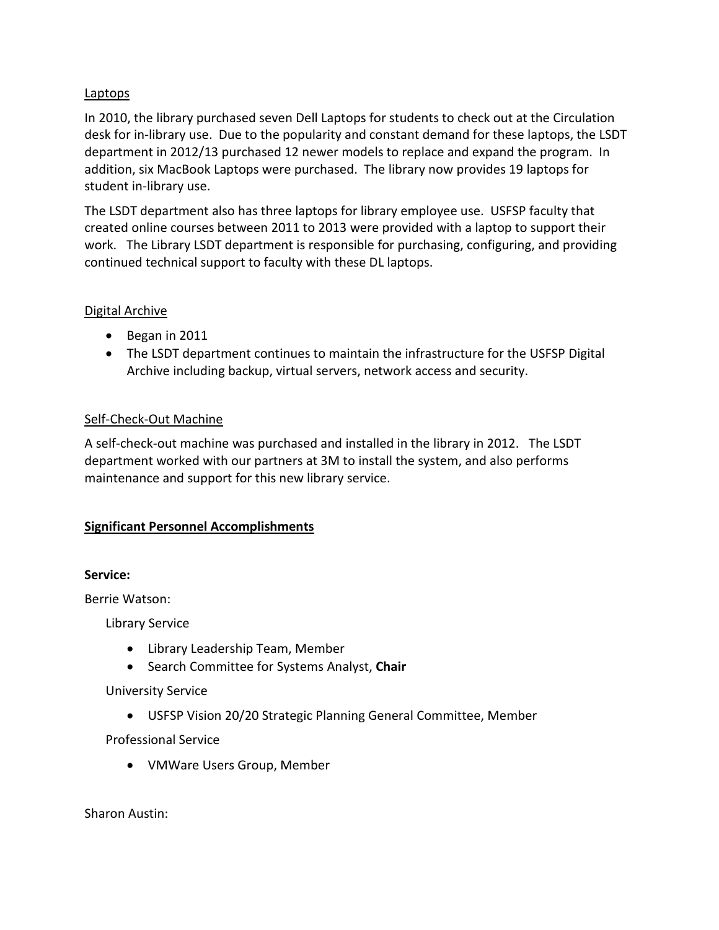#### Laptops

In 2010, the library purchased seven Dell Laptops for students to check out at the Circulation desk for in-library use. Due to the popularity and constant demand for these laptops, the LSDT department in 2012/13 purchased 12 newer models to replace and expand the program. In addition, six MacBook Laptops were purchased. The library now provides 19 laptops for student in-library use.

The LSDT department also has three laptops for library employee use. USFSP faculty that created online courses between 2011 to 2013 were provided with a laptop to support their work. The Library LSDT department is responsible for purchasing, configuring, and providing continued technical support to faculty with these DL laptops.

#### Digital Archive

- Began in 2011
- The LSDT department continues to maintain the infrastructure for the USFSP Digital Archive including backup, virtual servers, network access and security.

#### Self-Check-Out Machine

A self-check-out machine was purchased and installed in the library in 2012. The LSDT department worked with our partners at 3M to install the system, and also performs maintenance and support for this new library service.

## **Significant Personnel Accomplishments**

#### **Service:**

Berrie Watson:

Library Service

- Library Leadership Team, Member
- Search Committee for Systems Analyst, **Chair**

## University Service

• USFSP Vision 20/20 Strategic Planning General Committee, Member

Professional Service

• VMWare Users Group, Member

Sharon Austin: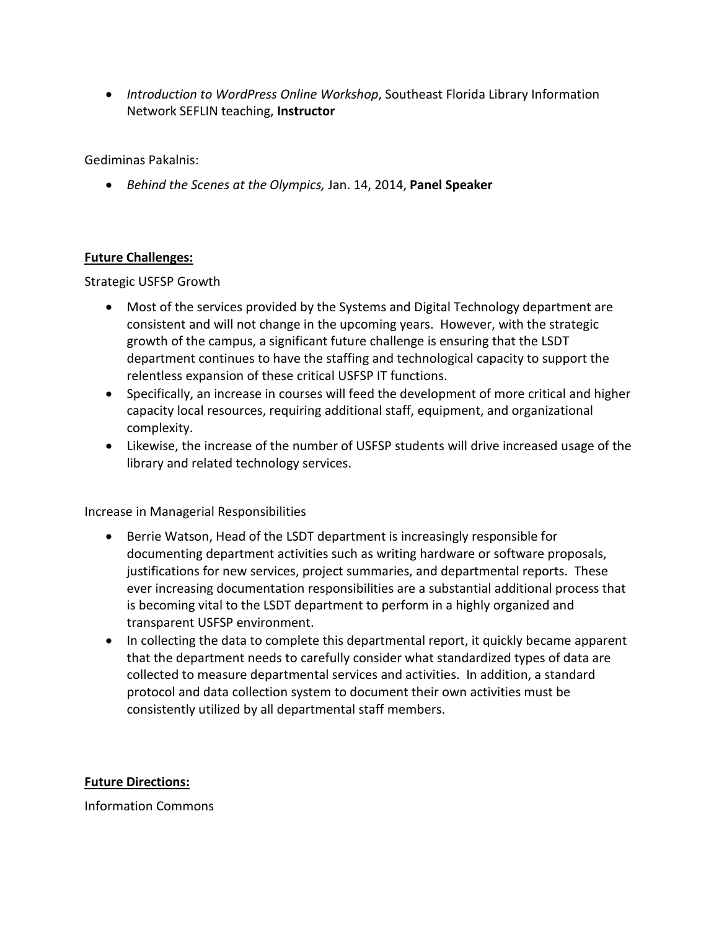• *Introduction to WordPress Online Workshop*, Southeast Florida Library Information Network SEFLIN teaching, **Instructor**

Gediminas Pakalnis:

• *Behind the Scenes at the Olympics,* Jan. 14, 2014, **Panel Speaker**

#### **Future Challenges:**

Strategic USFSP Growth

- Most of the services provided by the Systems and Digital Technology department are consistent and will not change in the upcoming years. However, with the strategic growth of the campus, a significant future challenge is ensuring that the LSDT department continues to have the staffing and technological capacity to support the relentless expansion of these critical USFSP IT functions.
- Specifically, an increase in courses will feed the development of more critical and higher capacity local resources, requiring additional staff, equipment, and organizational complexity.
- Likewise, the increase of the number of USFSP students will drive increased usage of the library and related technology services.

Increase in Managerial Responsibilities

- Berrie Watson, Head of the LSDT department is increasingly responsible for documenting department activities such as writing hardware or software proposals, justifications for new services, project summaries, and departmental reports. These ever increasing documentation responsibilities are a substantial additional process that is becoming vital to the LSDT department to perform in a highly organized and transparent USFSP environment.
- In collecting the data to complete this departmental report, it quickly became apparent that the department needs to carefully consider what standardized types of data are collected to measure departmental services and activities. In addition, a standard protocol and data collection system to document their own activities must be consistently utilized by all departmental staff members.

**Future Directions:**

Information Commons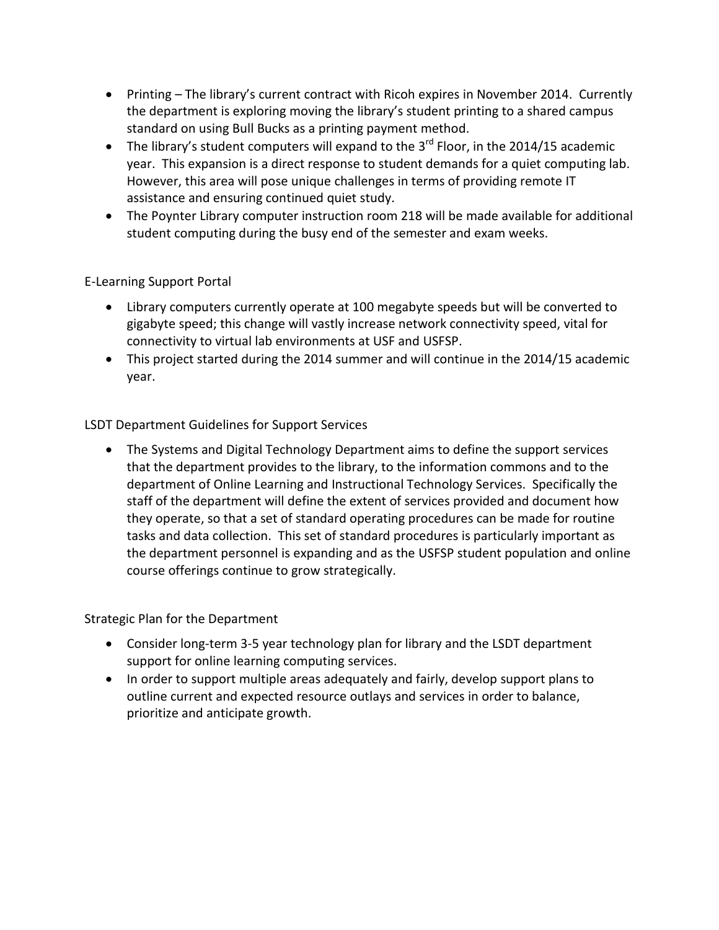- Printing The library's current contract with Ricoh expires in November 2014. Currently the department is exploring moving the library's student printing to a shared campus standard on using Bull Bucks as a printing payment method.
- The library's student computers will expand to the  $3<sup>rd</sup>$  Floor, in the 2014/15 academic year. This expansion is a direct response to student demands for a quiet computing lab. However, this area will pose unique challenges in terms of providing remote IT assistance and ensuring continued quiet study.
- The Poynter Library computer instruction room 218 will be made available for additional student computing during the busy end of the semester and exam weeks.

## E-Learning Support Portal

- Library computers currently operate at 100 megabyte speeds but will be converted to gigabyte speed; this change will vastly increase network connectivity speed, vital for connectivity to virtual lab environments at USF and USFSP.
- This project started during the 2014 summer and will continue in the 2014/15 academic year.

## LSDT Department Guidelines for Support Services

• The Systems and Digital Technology Department aims to define the support services that the department provides to the library, to the information commons and to the department of Online Learning and Instructional Technology Services. Specifically the staff of the department will define the extent of services provided and document how they operate, so that a set of standard operating procedures can be made for routine tasks and data collection. This set of standard procedures is particularly important as the department personnel is expanding and as the USFSP student population and online course offerings continue to grow strategically.

## Strategic Plan for the Department

- Consider long-term 3-5 year technology plan for library and the LSDT department support for online learning computing services.
- In order to support multiple areas adequately and fairly, develop support plans to outline current and expected resource outlays and services in order to balance, prioritize and anticipate growth.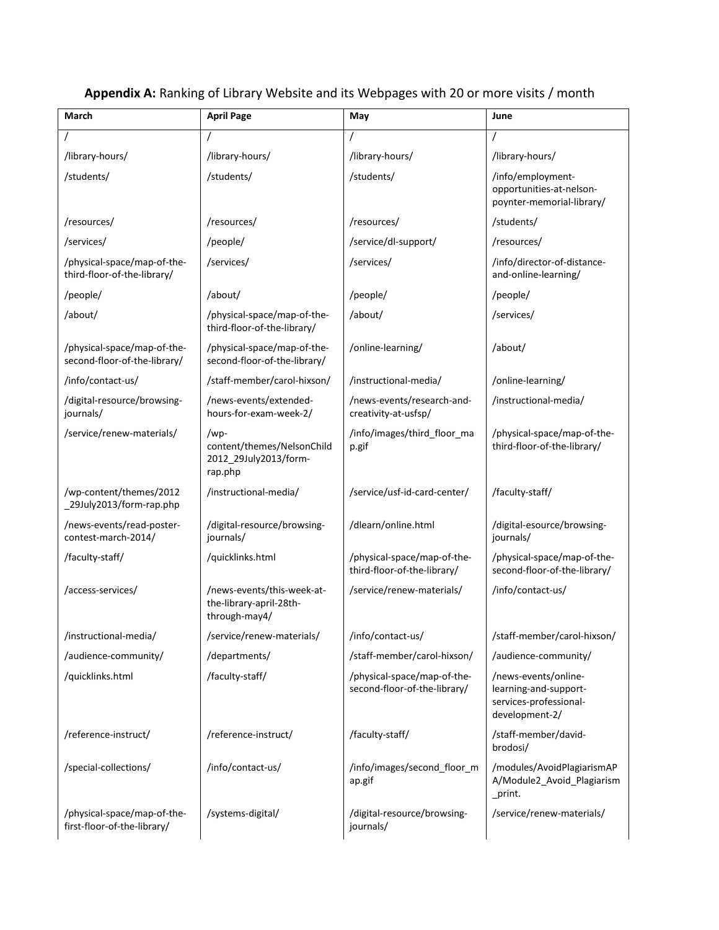| <b>March</b>                                                | <b>April Page</b>                                                      | May                                                         | June                                                                                      |
|-------------------------------------------------------------|------------------------------------------------------------------------|-------------------------------------------------------------|-------------------------------------------------------------------------------------------|
|                                                             |                                                                        |                                                             | $\prime$                                                                                  |
| /library-hours/                                             | /library-hours/                                                        | /library-hours/                                             | /library-hours/                                                                           |
| /students/                                                  | /students/                                                             | /students/                                                  | /info/employment-<br>opportunities-at-nelson-<br>poynter-memorial-library/                |
| /resources/                                                 | /resources/                                                            | /resources/                                                 | /students/                                                                                |
| /services/                                                  | /people/                                                               | /service/dl-support/                                        | /resources/                                                                               |
| /physical-space/map-of-the-<br>third-floor-of-the-library/  | /services/                                                             | /services/                                                  | /info/director-of-distance-<br>and-online-learning/                                       |
| /people/                                                    | /about/                                                                | /people/                                                    | /people/                                                                                  |
| /about/                                                     | /physical-space/map-of-the-<br>third-floor-of-the-library/             | /about/                                                     | /services/                                                                                |
| /physical-space/map-of-the-<br>second-floor-of-the-library/ | /physical-space/map-of-the-<br>second-floor-of-the-library/            | /online-learning/                                           | /about/                                                                                   |
| /info/contact-us/                                           | /staff-member/carol-hixson/                                            | /instructional-media/                                       | /online-learning/                                                                         |
| /digital-resource/browsing-<br>journals/                    | /news-events/extended-<br>hours-for-exam-week-2/                       | /news-events/research-and-<br>creativity-at-usfsp/          | /instructional-media/                                                                     |
| /service/renew-materials/                                   | /wp-<br>content/themes/NelsonChild<br>2012_29July2013/form-<br>rap.php | /info/images/third_floor_ma<br>p.gif                        | /physical-space/map-of-the-<br>third-floor-of-the-library/                                |
| /wp-content/themes/2012<br>_29July2013/form-rap.php         | /instructional-media/                                                  | /service/usf-id-card-center/                                | /faculty-staff/                                                                           |
| /news-events/read-poster-<br>contest-march-2014/            | /digital-resource/browsing-<br>journals/                               | /dlearn/online.html                                         | /digital-esource/browsing-<br>journals/                                                   |
| /faculty-staff/                                             | /quicklinks.html                                                       | /physical-space/map-of-the-<br>third-floor-of-the-library/  | /physical-space/map-of-the-<br>second-floor-of-the-library/                               |
| /access-services/                                           | /news-events/this-week-at-<br>the-library-april-28th-<br>through-may4/ | /service/renew-materials/                                   | /info/contact-us/                                                                         |
| /instructional-media/                                       | /service/renew-materials/                                              | /info/contact-us/                                           | /staff-member/carol-hixson/                                                               |
| /audience-community/                                        | /departments/                                                          | /staff-member/carol-hixson/                                 | /audience-community/                                                                      |
| /quicklinks.html                                            | /faculty-staff/                                                        | /physical-space/map-of-the-<br>second-floor-of-the-library/ | /news-events/online-<br>learning-and-support-<br>services-professional-<br>development-2/ |
| /reference-instruct/                                        | /reference-instruct/                                                   | /faculty-staff/                                             | /staff-member/david-<br>brodosi/                                                          |
| /special-collections/                                       | /info/contact-us/                                                      | /info/images/second_floor_m<br>ap.gif                       | /modules/AvoidPlagiarismAP<br>A/Module2_Avoid_Plagiarism<br>_print.                       |
| /physical-space/map-of-the-<br>first-floor-of-the-library/  | /systems-digital/                                                      | /digital-resource/browsing-<br>journals/                    | /service/renew-materials/                                                                 |

## **Appendix A:** Ranking of Library Website and its Webpages with 20 or more visits / month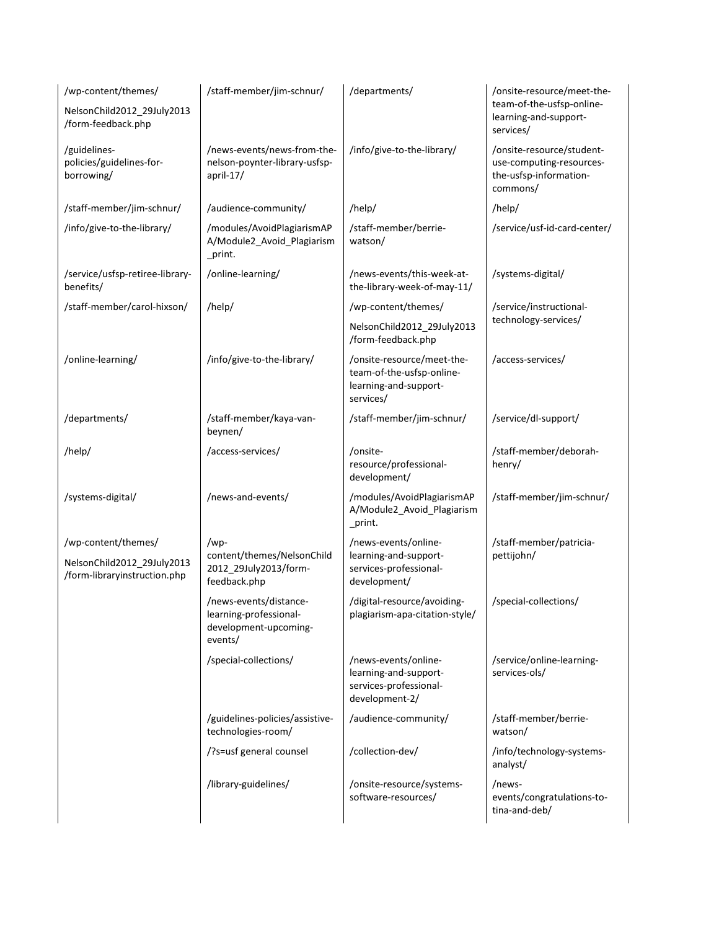| /wp-content/themes/                                        | /staff-member/jim-schnur/                                                            | /departments/                                                                                 | /onsite-resource/meet-the-                                                                  |
|------------------------------------------------------------|--------------------------------------------------------------------------------------|-----------------------------------------------------------------------------------------------|---------------------------------------------------------------------------------------------|
| NelsonChild2012_29July2013<br>/form-feedback.php           |                                                                                      |                                                                                               | team-of-the-usfsp-online-<br>learning-and-support-<br>services/                             |
| /guidelines-<br>policies/guidelines-for-<br>borrowing/     | /news-events/news-from-the-<br>nelson-poynter-library-usfsp-<br>april-17/            | /info/give-to-the-library/                                                                    | /onsite-resource/student-<br>use-computing-resources-<br>the-usfsp-information-<br>commons/ |
| /staff-member/jim-schnur/                                  | /audience-community/                                                                 | /help/                                                                                        | /help/                                                                                      |
| /info/give-to-the-library/                                 | /modules/AvoidPlagiarismAP<br>A/Module2_Avoid_Plagiarism<br>_print.                  | /staff-member/berrie-<br>watson/                                                              | /service/usf-id-card-center/                                                                |
| /service/usfsp-retiree-library-<br>benefits/               | /online-learning/                                                                    | /news-events/this-week-at-<br>the-library-week-of-may-11/                                     | /systems-digital/                                                                           |
| /staff-member/carol-hixson/                                | /help/                                                                               | /wp-content/themes/                                                                           | /service/instructional-                                                                     |
|                                                            |                                                                                      | NelsonChild2012_29July2013<br>/form-feedback.php                                              | technology-services/                                                                        |
| /online-learning/                                          | /info/give-to-the-library/                                                           | /onsite-resource/meet-the-<br>team-of-the-usfsp-online-<br>learning-and-support-<br>services/ | /access-services/                                                                           |
| /departments/                                              | /staff-member/kaya-van-<br>beynen/                                                   | /staff-member/jim-schnur/                                                                     | /service/dl-support/                                                                        |
| /help/                                                     | /access-services/                                                                    | /onsite-<br>resource/professional-<br>development/                                            | /staff-member/deborah-<br>henry/                                                            |
| /systems-digital/                                          | /news-and-events/                                                                    | /modules/AvoidPlagiarismAP<br>A/Module2_Avoid_Plagiarism<br>_print.                           | /staff-member/jim-schnur/                                                                   |
| /wp-content/themes/                                        | /wp-                                                                                 | /news-events/online-                                                                          | /staff-member/patricia-                                                                     |
| NelsonChild2012_29July2013<br>/form-libraryinstruction.php | content/themes/NelsonChild<br>2012_29July2013/form-<br>feedback.php                  | learning-and-support-<br>services-professional-<br>development/                               | pettijohn/                                                                                  |
|                                                            | /news-events/distance-<br>learning-professional-<br>development-upcoming-<br>events/ | /digital-resource/avoiding-<br>plagiarism-apa-citation-style/                                 | /special-collections/                                                                       |
|                                                            | /special-collections/                                                                | /news-events/online-<br>learning-and-support-<br>services-professional-<br>development-2/     | /service/online-learning-<br>services-ols/                                                  |
|                                                            | /guidelines-policies/assistive-<br>technologies-room/                                | /audience-community/                                                                          | /staff-member/berrie-<br>watson/                                                            |
|                                                            | /?s=usf general counsel                                                              | /collection-dev/                                                                              | /info/technology-systems-<br>analyst/                                                       |
|                                                            | /library-guidelines/                                                                 | /onsite-resource/systems-<br>software-resources/                                              | /news-<br>events/congratulations-to-<br>tina-and-deb/                                       |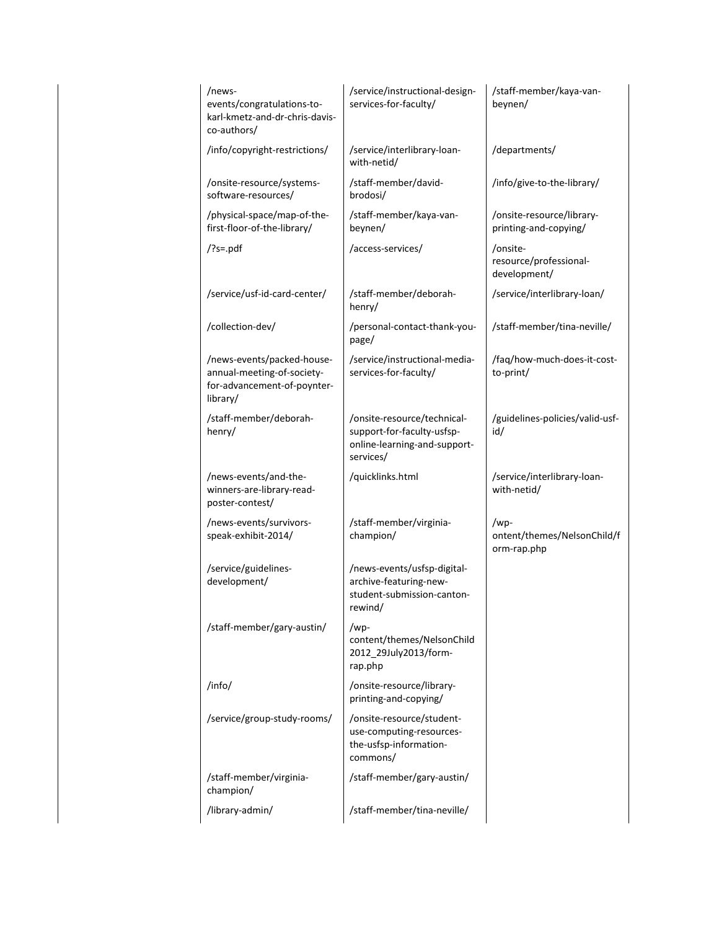| /news-<br>events/congratulations-to-<br>karl-kmetz-and-dr-chris-davis-<br>co-authors/               | /service/instructional-design-<br>services-for-faculty/                                                | /staff-member/kaya-van-<br>beynen/                 |
|-----------------------------------------------------------------------------------------------------|--------------------------------------------------------------------------------------------------------|----------------------------------------------------|
| /info/copyright-restrictions/                                                                       | /service/interlibrary-loan-<br>with-netid/                                                             | /departments/                                      |
| /onsite-resource/systems-<br>software-resources/                                                    | /staff-member/david-<br>brodosi/                                                                       | /info/give-to-the-library/                         |
| /physical-space/map-of-the-<br>first-floor-of-the-library/                                          | /staff-member/kaya-van-<br>beynen/                                                                     | /onsite-resource/library-<br>printing-and-copying/ |
| $?s=.pdf$                                                                                           | /access-services/                                                                                      | /onsite-<br>resource/professional-<br>development/ |
| /service/usf-id-card-center/                                                                        | /staff-member/deborah-<br>henry/                                                                       | /service/interlibrary-loan/                        |
| /collection-dev/                                                                                    | /personal-contact-thank-you-<br>page/                                                                  | /staff-member/tina-neville/                        |
| /news-events/packed-house-<br>annual-meeting-of-society-<br>for-advancement-of-poynter-<br>library/ | /service/instructional-media-<br>services-for-faculty/                                                 | /faq/how-much-does-it-cost-<br>to-print/           |
| /staff-member/deborah-<br>henry/                                                                    | /onsite-resource/technical-<br>support-for-faculty-usfsp-<br>online-learning-and-support-<br>services/ | /guidelines-policies/valid-usf-<br>id/             |
| /news-events/and-the-<br>winners-are-library-read-<br>poster-contest/                               | /quicklinks.html                                                                                       | /service/interlibrary-loan-<br>with-netid/         |
| /news-events/survivors-<br>speak-exhibit-2014/                                                      | /staff-member/virginia-<br>champion/                                                                   | /wp-<br>ontent/themes/NelsonChild/f<br>orm-rap.php |
| /service/guidelines-<br>development/                                                                | /news-events/usfsp-digital-<br>archive-featuring-new-<br>student-submission-canton-<br>rewind/         |                                                    |
| /staff-member/gary-austin/                                                                          | /wp-<br>content/themes/NelsonChild<br>2012_29July2013/form-<br>rap.php                                 |                                                    |
| /info/                                                                                              | /onsite-resource/library-<br>printing-and-copying/                                                     |                                                    |
| /service/group-study-rooms/                                                                         | /onsite-resource/student-<br>use-computing-resources-<br>the-usfsp-information-<br>commons/            |                                                    |
| /staff-member/virginia-<br>champion/                                                                | /staff-member/gary-austin/                                                                             |                                                    |
| /library-admin/                                                                                     | /staff-member/tina-neville/                                                                            |                                                    |
|                                                                                                     |                                                                                                        |                                                    |